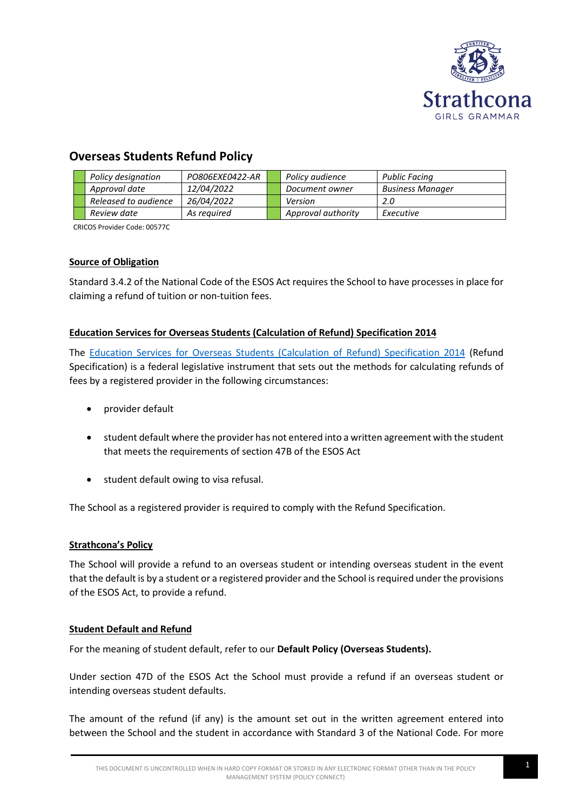

# **Overseas Students Refund Policy**

|  | Policy designation   | PO806EXE0422-AR   | Policy audience    | Public Facing           |
|--|----------------------|-------------------|--------------------|-------------------------|
|  | Approval date        | 12/04/2022        | Document owner     | <b>Business Manager</b> |
|  | Released to audience | <i>26/04/2022</i> | Version            | 2.0                     |
|  | Review date          | As reauired       | Approval authority | Executive               |

CRICOS Provider Code: 00577C

# **Source of Obligation**

Standard 3.4.2 of the National Code of the ESOS Act requires the School to have processes in place for claiming a refund of tuition or non-tuition fees.

# **Education Services for Overseas Students (Calculation of Refund) Specification 2014**

The [Education Services for Overseas Students \(Calculation of Refund\) Specification 2014](https://www.legislation.gov.au/Details/F2014L00907) (Refund Specification) is a federal legislative instrument that sets out the methods for calculating refunds of fees by a registered provider in the following circumstances:

- provider default
- student default where the provider has not entered into a written agreement with the student that meets the requirements of section 47B of the ESOS Act
- student default owing to visa refusal.

The School as a registered provider is required to comply with the Refund Specification.

# **Strathcona's Policy**

The School will provide a refund to an overseas student or intending overseas student in the event that the default is by a student or a registered provider and the School is required under the provisions of the ESOS Act, to provide a refund.

# **Student Default and Refund**

For the meaning of student default, refer to our **Default Policy (Overseas Students).**

Under section 47D of the ESOS Act the School must provide a refund if an overseas student or intending overseas student defaults.

The amount of the refund (if any) is the amount set out in the written agreement entered into between the School and the student in accordance with Standard 3 of the National Code. For more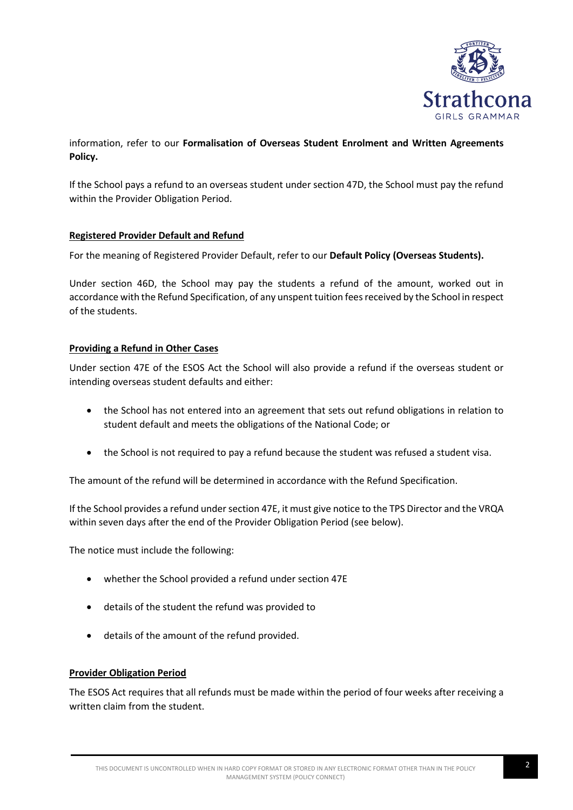

# information, refer to our **Formalisation of Overseas Student Enrolment and Written Agreements Policy.**

If the School pays a refund to an overseas student under section 47D, the School must pay the refund within the Provider Obligation Period.

# **Registered Provider Default and Refund**

For the meaning of Registered Provider Default, refer to our **Default Policy (Overseas Students).**

Under section 46D, the School may pay the students a refund of the amount, worked out in accordance with the Refund Specification, of any unspent tuition fees received by the School in respect of the students.

# **Providing a Refund in Other Cases**

Under section 47E of the ESOS Act the School will also provide a refund if the overseas student or intending overseas student defaults and either:

- the School has not entered into an agreement that sets out refund obligations in relation to student default and meets the obligations of the National Code; or
- the School is not required to pay a refund because the student was refused a student visa.

The amount of the refund will be determined in accordance with the Refund Specification.

If the School provides a refund under section 47E, it must give notice to the TPS Director and the VRQA within seven days after the end of the Provider Obligation Period (see below).

The notice must include the following:

- whether the School provided a refund under section 47E
- details of the student the refund was provided to
- details of the amount of the refund provided.

#### **Provider Obligation Period**

The ESOS Act requires that all refunds must be made within the period of four weeks after receiving a written claim from the student.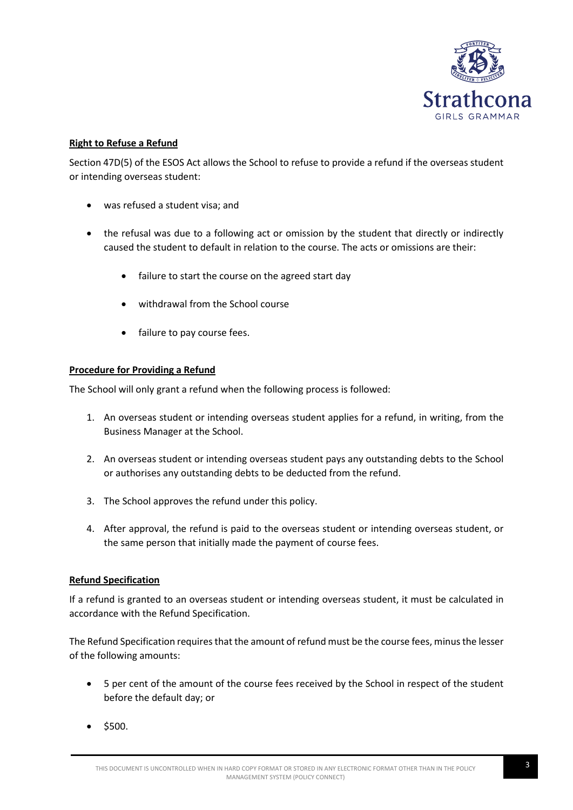

# **Right to Refuse a Refund**

Section 47D(5) of the ESOS Act allows the School to refuse to provide a refund if the overseas student or intending overseas student:

- was refused a student visa; and
- the refusal was due to a following act or omission by the student that directly or indirectly caused the student to default in relation to the course. The acts or omissions are their:
	- failure to start the course on the agreed start day
	- withdrawal from the School course
	- failure to pay course fees.

#### **Procedure for Providing a Refund**

The School will only grant a refund when the following process is followed:

- 1. An overseas student or intending overseas student applies for a refund, in writing, from the Business Manager at the School.
- 2. An overseas student or intending overseas student pays any outstanding debts to the School or authorises any outstanding debts to be deducted from the refund.
- 3. The School approves the refund under this policy.
- 4. After approval, the refund is paid to the overseas student or intending overseas student, or the same person that initially made the payment of course fees.

#### **Refund Specification**

If a refund is granted to an overseas student or intending overseas student, it must be calculated in accordance with the Refund Specification.

The Refund Specification requires that the amount of refund must be the course fees, minus the lesser of the following amounts:

- 5 per cent of the amount of the course fees received by the School in respect of the student before the default day; or
- $$500.$